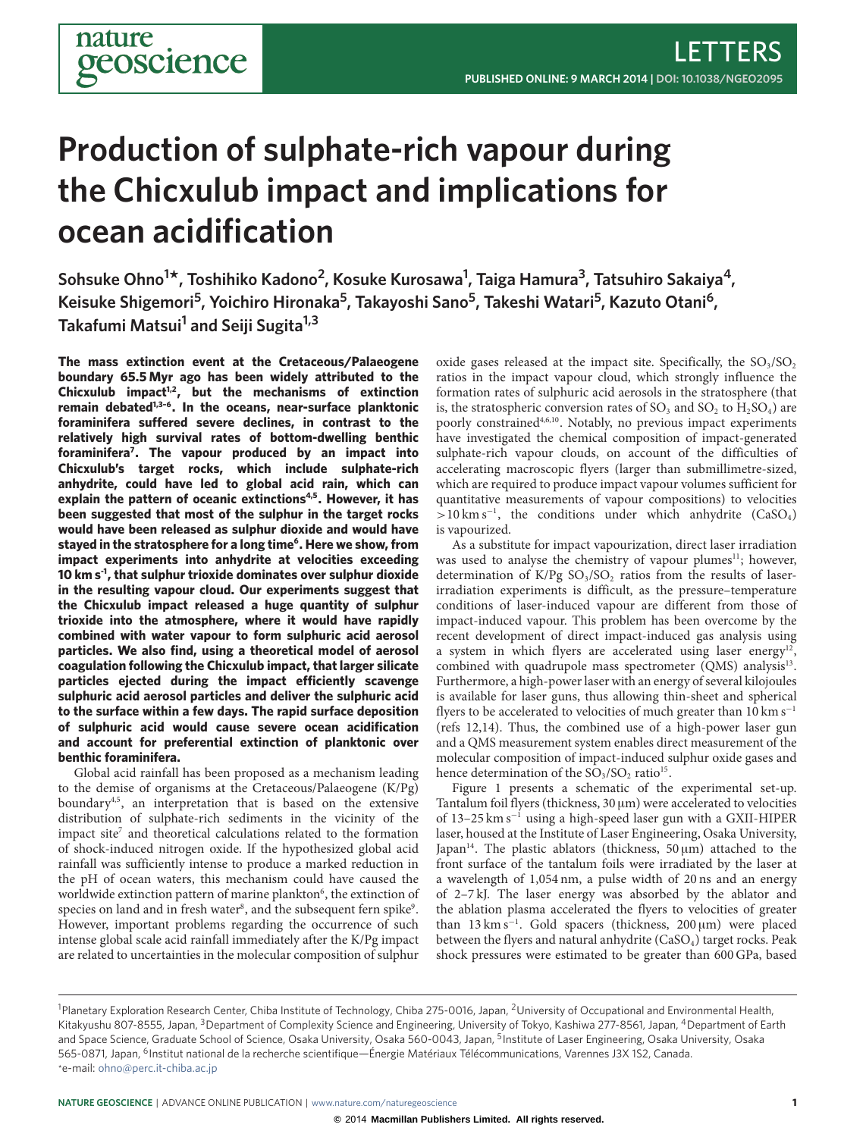# **Production of sulphate-rich vapour during the Chicxulub impact and implications for ocean acidification**

**Sohsuke Ohno<sup>1</sup> \*, Toshihiko Kadono<sup>2</sup> , Kosuke Kurosawa<sup>1</sup> , Taiga Hamura<sup>3</sup> , Tatsuhiro Sakaiya<sup>4</sup> , Keisuke Shigemori<sup>5</sup> , Yoichiro Hironaka<sup>5</sup> , Takayoshi Sano<sup>5</sup> , Takeshi Watari<sup>5</sup> , Kazuto Otani<sup>6</sup> , Takafumi Matsui<sup>1</sup> and Seiji Sugita1,3**

**The mass extinction event at the Cretaceous/Palaeogene boundary 65.5 Myr ago has been widely attributed to the Chicxulub impact[1](#page-2-0)[,2](#page-2-1), but the mechanisms of extinction remain debated[1](#page-2-0)[,3–](#page-2-2)[6](#page-2-3). In the oceans, near-surface planktonic** foraminifera suffered severe declines, in contrast to the **relatively high survival rates of bottom-dwelling benthic foraminifera[7](#page-2-4) . The vapour produced by an impact into Chicxulub's target rocks, which include sulphate-rich anhydrite, could have led to global acid rain, which can explain the pattern of oceanic extinctions[4](#page-2-5)[,5](#page-2-6). However, it has been suggested that most of the sulphur in the target rocks would have been released as sulphur dioxide and would have stayed in the stratosphere for a long time[6](#page-2-3) . Here we show, from impact experiments into anhydrite at velocities exceeding 10 km s-1, that sulphur trioxide dominates over sulphur dioxide in the resulting vapour cloud. Our experiments suggest that the Chicxulub impact released a huge quantity of sulphur trioxide into the atmosphere, where it would have rapidly combined with water vapour to form sulphuric acid aerosol particles. We also find, using a theoretical model of aerosol coagulation following the Chicxulub impact, that larger silicate** particles ejected during the impact efficiently scavenge **sulphuric acid aerosol particles and deliver the sulphuric acid to the surface within a few days. The rapid surface deposition of sulphuric acid would cause severe ocean acidification and account for preferential extinction of planktonic over benthic foraminifera.**

nature

eoscience

Global acid rainfall has been proposed as a mechanism leading to the demise of organisms at the Cretaceous/Palaeogene (K/Pg) boundary<sup>[4,](#page-2-5)[5](#page-2-6)</sup>, an interpretation that is based on the extensive distribution of sulphate-rich sediments in the vicinity of the impact site<sup>[7](#page-2-4)</sup> and theoretical calculations related to the formation of shock-induced nitrogen oxide. If the hypothesized global acid rainfall was sufficiently intense to produce a marked reduction in the pH of ocean waters, this mechanism could have caused the worldwide extinction pattern of marine plankton<sup>[6](#page-2-3)</sup>, the extinction of species on land and in fresh water $^{\rm 8}$  $^{\rm 8}$  $^{\rm 8}$ , and the subsequent fern spike $^{\rm 9}$  $^{\rm 9}$  $^{\rm 9}$ . However, important problems regarding the occurrence of such intense global scale acid rainfall immediately after the K/Pg impact are related to uncertainties in the molecular composition of sulphur

oxide gases released at the impact site. Specifically, the  $SO_3/SO_2$ ratios in the impact vapour cloud, which strongly influence the formation rates of sulphuric acid aerosols in the stratosphere (that is, the stratospheric conversion rates of  $SO_3$  and  $SO_2$  to  $H_2SO_4$ ) are poorly constrained<sup>[4](#page-2-5)[,6,](#page-2-3)[10](#page-2-9)</sup>. Notably, no previous impact experiments have investigated the chemical composition of impact-generated sulphate-rich vapour clouds, on account of the difficulties of accelerating macroscopic flyers (larger than submillimetre-sized, which are required to produce impact vapour volumes sufficient for quantitative measurements of vapour compositions) to velocities >10 km s<sup>-1</sup>, the conditions under which anhydrite (CaSO<sub>4</sub>) is vapourized.

As a substitute for impact vapourization, direct laser irradiation was used to analyse the chemistry of vapour plumes<sup>[11](#page-2-10)</sup>; however, determination of  $K/Pg SO<sub>3</sub>/SO<sub>2</sub>$  ratios from the results of laserirradiation experiments is difficult, as the pressure–temperature conditions of laser-induced vapour are different from those of impact-induced vapour. This problem has been overcome by the recent development of direct impact-induced gas analysis using a system in which flyers are accelerated using laser energy<sup>[12](#page-2-11)</sup> , combined with quadrupole mass spectrometer (QMS) analysis<sup>[13](#page-2-12)</sup>. Furthermore, a high-power laser with an energy of several kilojoules is available for laser guns, thus allowing thin-sheet and spherical flyers to be accelerated to velocities of much greater than  $10 \text{ km s}^{-1}$ (refs [12](#page-2-11)[,14\)](#page-2-13). Thus, the combined use of a high-power laser gun and a QMS measurement system enables direct measurement of the molecular composition of impact-induced sulphur oxide gases and hence determination of the  $SO_3/SO_2$  ratio<sup>[15](#page-2-14)</sup>.

Figure [1](#page-1-0) presents a schematic of the experimental set-up. Tantalum foil flyers (thickness, 30 µm) were accelerated to velocities of 13–25 km s<sup>−</sup><sup>1</sup> using a high-speed laser gun with a GXII-HIPER laser, housed at the Institute of Laser Engineering, Osaka University, Japan<sup>[14](#page-2-13)</sup>. The plastic ablators (thickness,  $50 \text{ µm}$ ) attached to the front surface of the tantalum foils were irradiated by the laser at a wavelength of 1,054 nm, a pulse width of 20 ns and an energy of 2–7 kJ. The laser energy was absorbed by the ablator and the ablation plasma accelerated the flyers to velocities of greater than 13 km s<sup>−</sup><sup>1</sup> . Gold spacers (thickness, 200 µm) were placed between the flyers and natural anhydrite  $(CaSO<sub>4</sub>)$  target rocks. Peak shock pressures were estimated to be greater than 600 GPa, based

<sup>&</sup>lt;sup>1</sup>Planetary Exploration Research Center, Chiba Institute of Technology, Chiba 275-0016, Japan, <sup>2</sup>University of Occupational and Environmental Health, Kitakyushu 807-8555, Japan, <sup>3</sup>Department of Complexity Science and Engineering, University of Tokyo, Kashiwa 277-8561, Japan, <sup>4</sup>Department of Earth and Space Science, Graduate School of Science, Osaka University, Osaka 560-0043, Japan, <sup>5</sup>Institute of Laser Engineering, Osaka University, Osaka 565-0871, Japan, <sup>6</sup>Institut national de la recherche scientifique—Énergie Matériaux Télécommunications, Varennes J3X 1S2, Canada. \*e-mail: [ohno@perc.it-chiba.ac.jp](mailto:ohno@perc.it-chiba.ac.jp)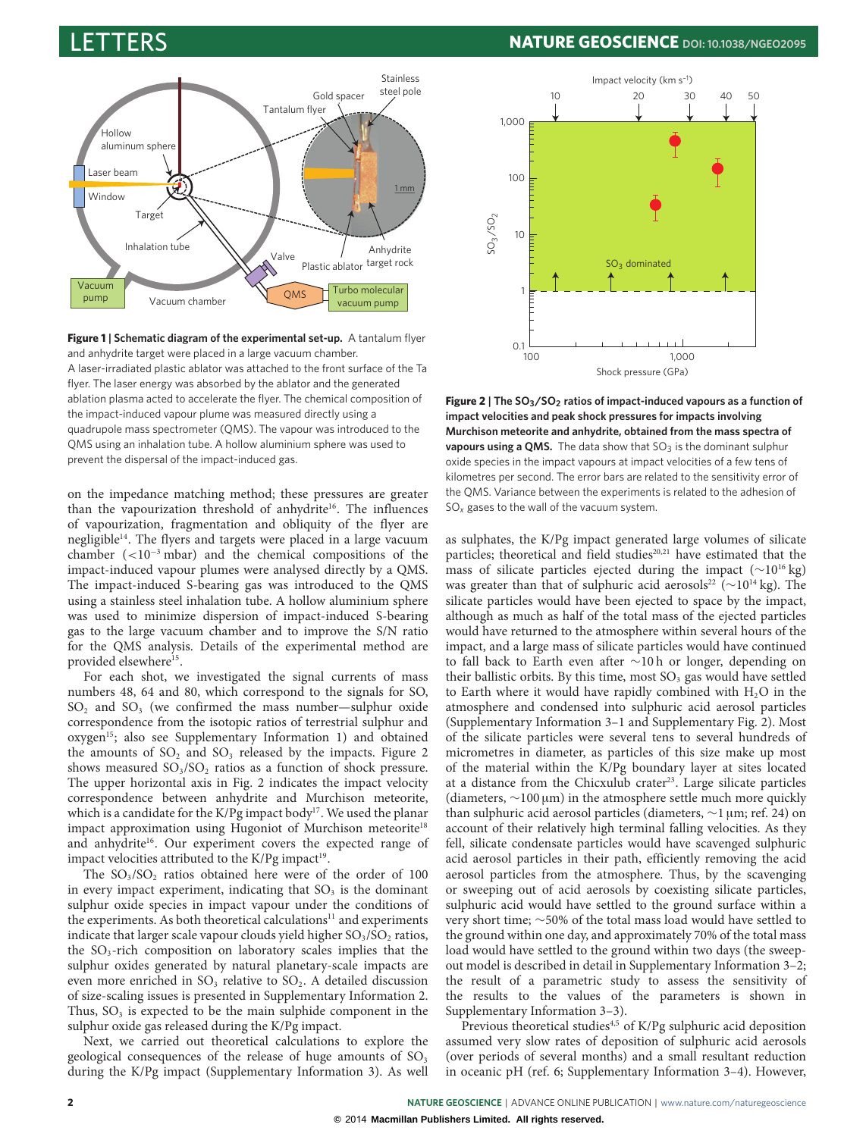

**Figure 1** | Schematic diagram of the experimental set-up. A tantalum flyer and anhydrite target were placed in a large vacuum chamber. A laser-irradiated plastic ablator was attached to the front surface of the Ta flyer. The laser energy was absorbed by the ablator and the generated ablation plasma acted to accelerate the flyer. The chemical composition of the impact-induced vapour plume was measured directly using a quadrupole mass spectrometer (QMS). The vapour was introduced to the QMS using an inhalation tube. A hollow aluminium sphere was used to prevent the dispersal of the impact-induced gas.

on the impedance matching method; these pressures are greater than the vapourization threshold of anhydrite<sup>[16](#page-2-15)</sup>. The influences of vapourization, fragmentation and obliquity of the flyer are negligible<sup>[14](#page-2-13)</sup>. The flyers and targets were placed in a large vacuum chamber (<10<sup>−</sup><sup>3</sup> mbar) and the chemical compositions of the impact-induced vapour plumes were analysed directly by a QMS. The impact-induced S-bearing gas was introduced to the QMS using a stainless steel inhalation tube. A hollow aluminium sphere was used to minimize dispersion of impact-induced S-bearing gas to the large vacuum chamber and to improve the S/N ratio for the QMS analysis. Details of the experimental method are provided elsewhere<sup>[15](#page-2-14)</sup>.

For each shot, we investigated the signal currents of mass numbers 48, 64 and 80, which correspond to the signals for SO,  $SO<sub>2</sub>$  and  $SO<sub>3</sub>$  (we confirmed the mass number—sulphur oxide correspondence from the isotopic ratios of terrestrial sulphur and oxygen[15](#page-2-14); also see Supplementary Information 1) and obtained the amounts of  $SO_2$  and  $SO_3$  released by the impacts. Figure [2](#page-1-1) shows measured  $SO_3/SO_2$  ratios as a function of shock pressure. The upper horizontal axis in Fig. [2](#page-1-1) indicates the impact velocity correspondence between anhydrite and Murchison meteorite, which is a candidate for the K/Pg impact body<sup>[17](#page-3-0)</sup>. We used the planar impact approximation using Hugoniot of Murchison meteorite<sup>[18](#page-3-1)</sup> and anhydrite<sup>[16](#page-2-15)</sup>. Our experiment covers the expected range of impact velocities attributed to the K/Pg impact<sup>[19](#page-3-2)</sup>.

The  $SO_3/SO_2$  ratios obtained here were of the order of 100 in every impact experiment, indicating that  $SO<sub>3</sub>$  is the dominant sulphur oxide species in impact vapour under the conditions of the experiments. As both theoretical calculations<sup>[11](#page-2-10)</sup> and experiments indicate that larger scale vapour clouds yield higher  $SO<sub>3</sub>/SO<sub>2</sub>$  ratios, the  $SO_3$ -rich composition on laboratory scales implies that the sulphur oxides generated by natural planetary-scale impacts are even more enriched in  $SO_3$  relative to  $SO_2$ . A detailed discussion of size-scaling issues is presented in Supplementary Information 2. Thus,  $SO_3$  is expected to be the main sulphide component in the sulphur oxide gas released during the K/Pg impact.

Next, we carried out theoretical calculations to explore the geological consequences of the release of huge amounts of  $SO<sub>3</sub>$ during the K/Pg impact (Supplementary Information 3). As well



<span id="page-1-1"></span><span id="page-1-0"></span>**Figure 2 | The SO3/SO<sup>2</sup> ratios of impact-induced vapours as a function of impact velocities and peak shock pressures for impacts involving Murchison meteorite and anhydrite, obtained from the mass spectra of vapours using a QMS.** The data show that SO<sub>3</sub> is the dominant sulphur oxide species in the impact vapours at impact velocities of a few tens of kilometres per second. The error bars are related to the sensitivity error of the QMS. Variance between the experiments is related to the adhesion of SO*<sup>x</sup>* gases to the wall of the vacuum system.

as sulphates, the K/Pg impact generated large volumes of silicate particles; theoretical and field studies<sup>[20,](#page-3-3)[21](#page-3-4)</sup> have estimated that the mass of silicate particles ejected during the impact (∼10<sup>16</sup> kg) was greater than that of sulphuric acid aerosols<sup>[22](#page-3-5)</sup> ( $\sim$ 10<sup>14</sup> kg). The silicate particles would have been ejected to space by the impact, although as much as half of the total mass of the ejected particles would have returned to the atmosphere within several hours of the impact, and a large mass of silicate particles would have continued to fall back to Earth even after ∼10 h or longer, depending on their ballistic orbits. By this time, most  $SO<sub>3</sub>$  gas would have settled to Earth where it would have rapidly combined with  $H_2O$  in the atmosphere and condensed into sulphuric acid aerosol particles (Supplementary Information 3–1 and Supplementary Fig. 2). Most of the silicate particles were several tens to several hundreds of micrometres in diameter, as particles of this size make up most of the material within the K/Pg boundary layer at sites located at a distance from the Chicxulub crater<sup>[23](#page-3-6)</sup>. Large silicate particles (diameters, ∼100 µm) in the atmosphere settle much more quickly than sulphuric acid aerosol particles (diameters, ∼1 µm; ref. [24\)](#page-3-7) on account of their relatively high terminal falling velocities. As they fell, silicate condensate particles would have scavenged sulphuric acid aerosol particles in their path, efficiently removing the acid aerosol particles from the atmosphere. Thus, by the scavenging or sweeping out of acid aerosols by coexisting silicate particles, sulphuric acid would have settled to the ground surface within a very short time; ∼50% of the total mass load would have settled to the ground within one day, and approximately 70% of the total mass load would have settled to the ground within two days (the sweepout model is described in detail in Supplementary Information 3–2; the result of a parametric study to assess the sensitivity of the results to the values of the parameters is shown in Supplementary Information 3–3).

Previous theoretical studies<sup>[4](#page-2-5)[,5](#page-2-6)</sup> of K/Pg sulphuric acid deposition assumed very slow rates of deposition of sulphuric acid aerosols (over periods of several months) and a small resultant reduction in oceanic pH (ref. [6;](#page-2-3) Supplementary Information 3–4). However,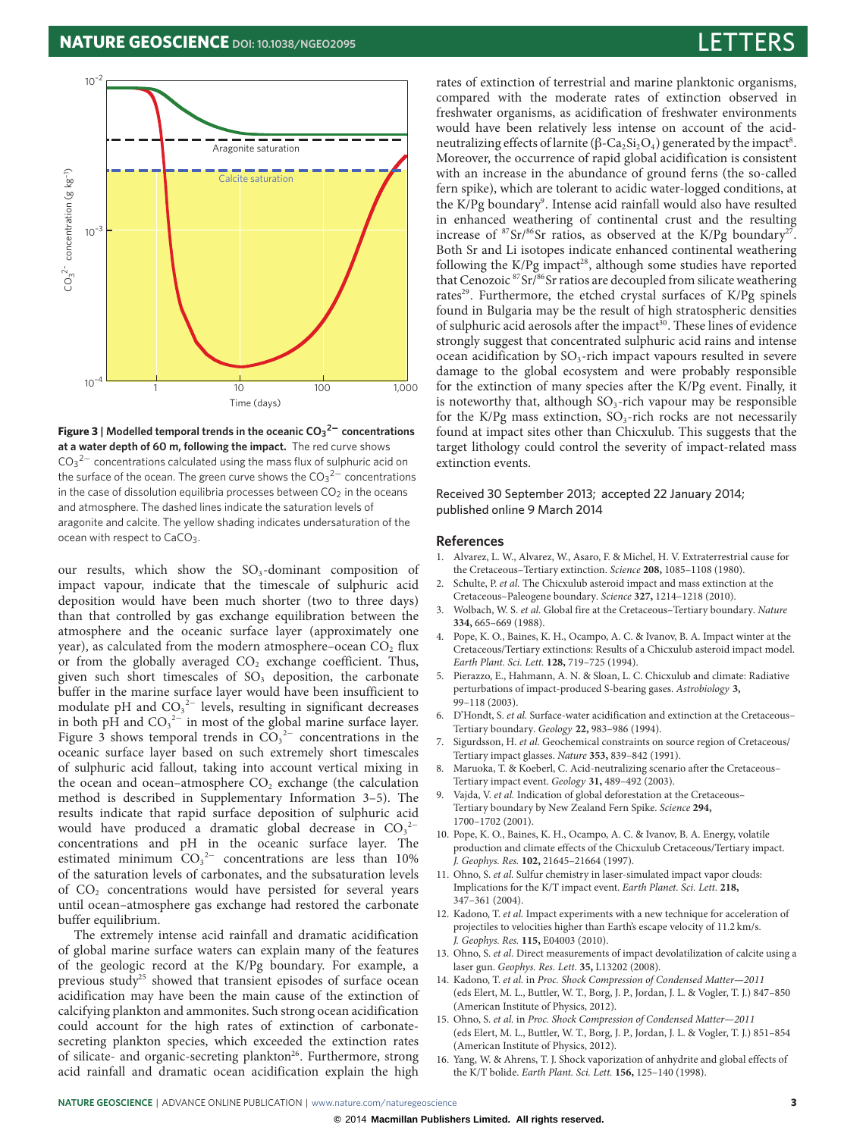# **NATURE GEOSCIENCE** DOI: [10.1038/NGEO2095](http://www.nature.com/doifinder/10.1038/ngeo2095)



**Figure 3 | Modelled temporal trends in the oceanic CO<sup>3</sup> <sup>2</sup>**<sup>−</sup> **concentrations at a water depth of 60 m, following the impact.** The red curve shows  $CO<sub>3</sub><sup>2–</sup>$  concentrations calculated using the mass flux of sulphuric acid on the surface of the ocean. The green curve shows the CO $_3{}^{2-}$  concentrations in the case of dissolution equilibria processes between  $CO<sub>2</sub>$  in the oceans and atmosphere. The dashed lines indicate the saturation levels of aragonite and calcite. The yellow shading indicates undersaturation of the ocean with respect to CaCO<sub>3</sub>.

our results, which show the  $SO<sub>3</sub>$ -dominant composition of impact vapour, indicate that the timescale of sulphuric acid deposition would have been much shorter (two to three days) than that controlled by gas exchange equilibration between the atmosphere and the oceanic surface layer (approximately one year), as calculated from the modern atmosphere–ocean CO<sub>2</sub> flux or from the globally averaged  $CO<sub>2</sub>$  exchange coefficient. Thus, given such short timescales of  $SO<sub>3</sub>$  deposition, the carbonate buffer in the marine surface layer would have been insufficient to modulate pH and  $CO<sub>3</sub><sup>2–</sup>$  levels, resulting in significant decreases in both pH and  $CO<sub>3</sub><sup>2−</sup>$  in most of the global marine surface layer. Figure [3](#page-2-16) shows temporal trends in  $CO<sub>3</sub><sup>2-</sup>$  concentrations in the oceanic surface layer based on such extremely short timescales of sulphuric acid fallout, taking into account vertical mixing in the ocean and ocean–atmosphere  $CO<sub>2</sub>$  exchange (the calculation method is described in Supplementary Information 3–5). The results indicate that rapid surface deposition of sulphuric acid would have produced a dramatic global decrease in  $CO<sub>3</sub><sup>2</sup>$ concentrations and pH in the oceanic surface layer. The estimated minimum  $CO<sub>3</sub><sup>2-</sup>$  concentrations are less than 10% of the saturation levels of carbonates, and the subsaturation levels of CO<sup>2</sup> concentrations would have persisted for several years until ocean–atmosphere gas exchange had restored the carbonate buffer equilibrium.

The extremely intense acid rainfall and dramatic acidification of global marine surface waters can explain many of the features of the geologic record at the K/Pg boundary. For example, a previous study<sup>[25](#page-3-8)</sup> showed that transient episodes of surface ocean acidification may have been the main cause of the extinction of calcifying plankton and ammonites. Such strong ocean acidification could account for the high rates of extinction of carbonatesecreting plankton species, which exceeded the extinction rates of silicate- and organic-secreting plankton<sup>[26](#page-3-9)</sup>. Furthermore, strong acid rainfall and dramatic ocean acidification explain the high rates of extinction of terrestrial and marine planktonic organisms, compared with the moderate rates of extinction observed in freshwater organisms, as acidification of freshwater environments would have been relatively less intense on account of the acid-neutralizing effects of larnite (β-Ca<sub>2</sub>Si<sub>2</sub>O<sub>4</sub>) generated by the impact<sup>[8](#page-2-7)</sup>. Moreover, the occurrence of rapid global acidification is consistent with an increase in the abundance of ground ferns (the so-called fern spike), which are tolerant to acidic water-logged conditions, at the K/Pg boundary<sup>[9](#page-2-8)</sup>. Intense acid rainfall would also have resulted in enhanced weathering of continental crust and the resulting increase of  $87\,\mathrm{Sr}/86\,\mathrm{Sr}$  ratios, as observed at the K/Pg boundary<sup>[27](#page-3-10)</sup>. Both Sr and Li isotopes indicate enhanced continental weathering following the K/Pg impact<sup>[28](#page-3-11)</sup>, although some studies have reported that Cenozoic <sup>87</sup>Sr/<sup>86</sup>Sr ratios are decoupled from silicate weathering rates<sup>[29](#page-3-12)</sup>. Furthermore, the etched crystal surfaces of K/Pg spinels found in Bulgaria may be the result of high stratospheric densities of sulphuric acid aerosols after the impact<sup>[30](#page-3-13)</sup>. These lines of evidence strongly suggest that concentrated sulphuric acid rains and intense ocean acidification by  $SO_3$ -rich impact vapours resulted in severe damage to the global ecosystem and were probably responsible for the extinction of many species after the K/Pg event. Finally, it is noteworthy that, although  $SO_3$ -rich vapour may be responsible for the K/Pg mass extinction,  $SO_3$ -rich rocks are not necessarily found at impact sites other than Chicxulub. This suggests that the target lithology could control the severity of impact-related mass extinction events.

# <span id="page-2-16"></span>Received 30 September 2013; accepted 22 January 2014; published online 9 March 2014

### **References**

- <span id="page-2-0"></span>1. Alvarez, L. W., Alvarez, W., Asaro, F. & Michel, H. V. Extraterrestrial cause for the Cretaceous–Tertiary extinction. Science **208,** 1085–1108 (1980).
- <span id="page-2-1"></span>Schulte, P. et al. The Chicxulub asteroid impact and mass extinction at the Cretaceous–Paleogene boundary. Science **327,** 1214–1218 (2010).
- <span id="page-2-2"></span>Wolbach, W. S. et al. Global fire at the Cretaceous-Tertiary boundary. Nature **334,** 665–669 (1988).
- <span id="page-2-5"></span>4. Pope, K. O., Baines, K. H., Ocampo, A. C. & Ivanov, B. A. Impact winter at the Cretaceous/Tertiary extinctions: Results of a Chicxulub asteroid impact model. Earth Plant. Sci. Lett. **128,** 719–725 (1994).
- <span id="page-2-6"></span>5. Pierazzo, E., Hahmann, A. N. & Sloan, L. C. Chicxulub and climate: Radiative perturbations of impact-produced S-bearing gases. Astrobiology **3,** 99–118 (2003).
- <span id="page-2-3"></span>6. D'Hondt, S. et al. Surface-water acidification and extinction at the Cretaceous– Tertiary boundary. Geology **22,** 983–986 (1994).
- <span id="page-2-4"></span>Sigurdsson, H. et al. Geochemical constraints on source region of Cretaceous/ Tertiary impact glasses. Nature **353,** 839–842 (1991).
- <span id="page-2-7"></span>Maruoka, T. & Koeberl, C. Acid-neutralizing scenario after the Cretaceous-Tertiary impact event. Geology **31,** 489–492 (2003).
- <span id="page-2-8"></span>Vajda, V. et al. Indication of global deforestation at the Cretaceous-Tertiary boundary by New Zealand Fern Spike. Science **294,** 1700–1702 (2001).
- <span id="page-2-9"></span>10. Pope, K. O., Baines, K. H., Ocampo, A. C. & Ivanov, B. A. Energy, volatile production and climate effects of the Chicxulub Cretaceous/Tertiary impact. J. Geophys. Res. **102,** 21645–21664 (1997).
- <span id="page-2-10"></span>11. Ohno, S. et al. Sulfur chemistry in laser-simulated impact vapor clouds: Implications for the K/T impact event. Earth Planet. Sci. Lett. **218,** 347–361 (2004).
- <span id="page-2-11"></span>12. Kadono, T. et al. Impact experiments with a new technique for acceleration of projectiles to velocities higher than Earth's escape velocity of 11.2 km/s. J. Geophys. Res. **115,** E04003 (2010).
- <span id="page-2-12"></span>13. Ohno, S. et al. Direct measurements of impact devolatilization of calcite using a laser gun. Geophys. Res. Lett. **35,** L13202 (2008).
- <span id="page-2-13"></span>14. Kadono, T. et al. in Proc. Shock Compression of Condensed Matter—2011 (eds Elert, M. L., Buttler, W. T., Borg, J. P., Jordan, J. L. & Vogler, T. J.) 847–850 (American Institute of Physics, 2012).
- <span id="page-2-14"></span>15. Ohno, S. et al. in Proc. Shock Compression of Condensed Matter—2011 (eds Elert, M. L., Buttler, W. T., Borg, J. P., Jordan, J. L. & Vogler, T. J.) 851–854 (American Institute of Physics, 2012).
- <span id="page-2-15"></span>16. Yang, W. & Ahrens, T. J. Shock vaporization of anhydrite and global effects of the K/T bolide. Earth Plant. Sci. Lett. **156,** 125–140 (1998).